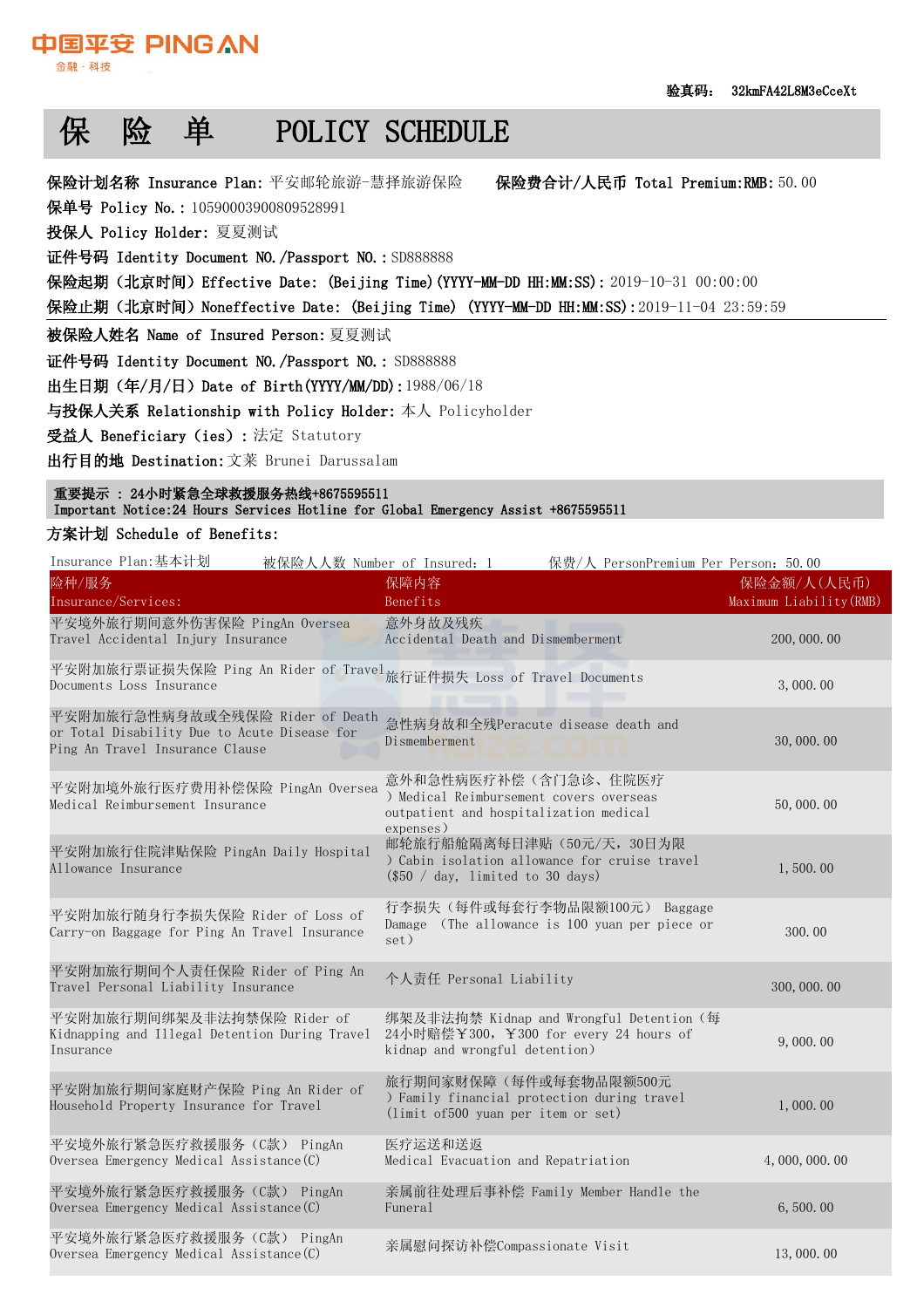保险费合计/人民币 Total Premium:RMB: 50.00

# 保 险 单 POLICY SCHEDULE

保险计划名称 Insurance Plan: 平安邮轮旅游-慧择旅游保险——保险费合计/人民币 Total Premium:RMB:

保单号 Policy No.: 10590003900809528991

投保人 Policy Holder: 夏夏测试

中国亚安 PINGAN

金融·科技

证件号码 Identity Document NO./Passport NO.: SD888888

保险起期(北京时间)Effective Date: (Beijing Time)(YYYY-MM-DD HH:MM:SS): 2019-10-31 00:00:00

保险止期(北京时间)Noneffective Date: (Beijing Time) (YYYY-MM-DD HH:MM:SS):2019-11-04 23:59:59

被保险人姓名 Name of Insured Person:夏夏测试

证件号码 Identity Document NO./Passport NO.: SD888888

出生日期(年/月/日)Date of Birth(YYYY/MM/DD):1988/06/18

与投保人关系 Relationship with Policy Holder: 本人 Policyholder

受益人 Beneficiary(ies): 法定 Statutory

出行目的地 Destination:文莱 Brunei Darussalam

 重要提示 : 24小时紧急全球救援服务热线+8675595511 Important Notice:24 Hours Services Hotline for Global Emergency Assist +8675595511

### 方案计划 Schedule of Benefits:

| Insurance Plan:基本计划<br>被保险人人数 Number of Insured: 1                                                                 | 保费/人 PersonPremium Per Person: 50.00                                                                                   |                                        |
|--------------------------------------------------------------------------------------------------------------------|------------------------------------------------------------------------------------------------------------------------|----------------------------------------|
| 险种/服务<br>Insurance/Services:                                                                                       | 保障内容<br>Benefits                                                                                                       | 保险金额/人(人民币)<br>Maximum Liability (RMB) |
| 平安境外旅行期间意外伤害保险 PingAn Oversea<br>Travel Accidental Injury Insurance                                                | 意外身故及残疾<br>Accidental Death and Dismemberment                                                                          | 200, 000. 00                           |
| 平安附加旅行票证损失保险 Ping An Rider of Travel 旅行证件损失 Loss of Travel Documents                                               |                                                                                                                        | 3,000,00                               |
| 平安附加旅行急性病身故或全残保险 Rider of Death<br>or Total Disability Due to Acute Disease for<br>Ping An Travel Insurance Clause | 急性病身故和全残Peracute disease death and<br>Dismemberment                                                                    | 30,000.00                              |
| 平安附加境外旅行医疗费用补偿保险 PingAn Oversea<br>Medical Reimbursement Insurance                                                 | 意外和急性病医疗补偿(含门急诊、住院医疗<br>) Medical Reimbursement covers overseas<br>outpatient and hospitalization medical<br>expenses) | 50,000.00                              |
| 平安附加旅行住院津贴保险 PingAn Daily Hospital<br>Allowance Insurance                                                          | 邮轮旅行船舱隔离每日津贴 (50元/天, 30日为限<br>) Cabin isolation allowance for cruise travel<br>$(\$50 / day, limited to 30 days)$      | 1,500.00                               |
| 平安附加旅行随身行李损失保险 Rider of Loss of<br>Carry-on Baggage for Ping An Travel Insurance                                   | 行李损失(每件或每套行李物品限额100元) Baggage<br>Damage (The allowance is 100 yuan per piece or<br>set)                                | 300.00                                 |
| 平安附加旅行期间个人责任保险 Rider of Ping An<br>Travel Personal Liability Insurance                                             | 个人责任 Personal Liability                                                                                                | 300, 000. 00                           |
| 平安附加旅行期间绑架及非法拘禁保险 Rider of<br>Kidnapping and Illegal Detention During Travel<br>Insurance                          | 绑架及非法拘禁 Kidnap and Wrongful Detention (每<br>24小时赔偿¥300, ¥300 for every 24 hours of<br>kidnap and wrongful detention)   | 9,000.00                               |
| 平安附加旅行期间家庭财产保险 Ping An Rider of<br>Household Property Insurance for Travel                                         | 旅行期间家财保障(每件或每套物品限额500元<br>) Family financial protection during travel<br>(limit of 500 yuan per item or set)           | 1,000.00                               |
| 平安境外旅行紧急医疗救援服务(C款) PingAn<br>Oversea Emergency Medical Assistance (C)                                              | 医疗运送和送返<br>Medical Evacuation and Repatriation                                                                         | 4,000,000.00                           |
| 平安境外旅行紧急医疗救援服务(C款) PingAn<br>Oversea Emergency Medical Assistance (C)                                              | 亲属前往处理后事补偿 Family Member Handle the<br>Funeral                                                                         | 6,500.00                               |
| 平安境外旅行紧急医疗救援服务(C款) PingAn<br>Oversea Emergency Medical Assistance (C)                                              | 亲属慰问探访补偿Compassionate Visit                                                                                            | 13,000.00                              |